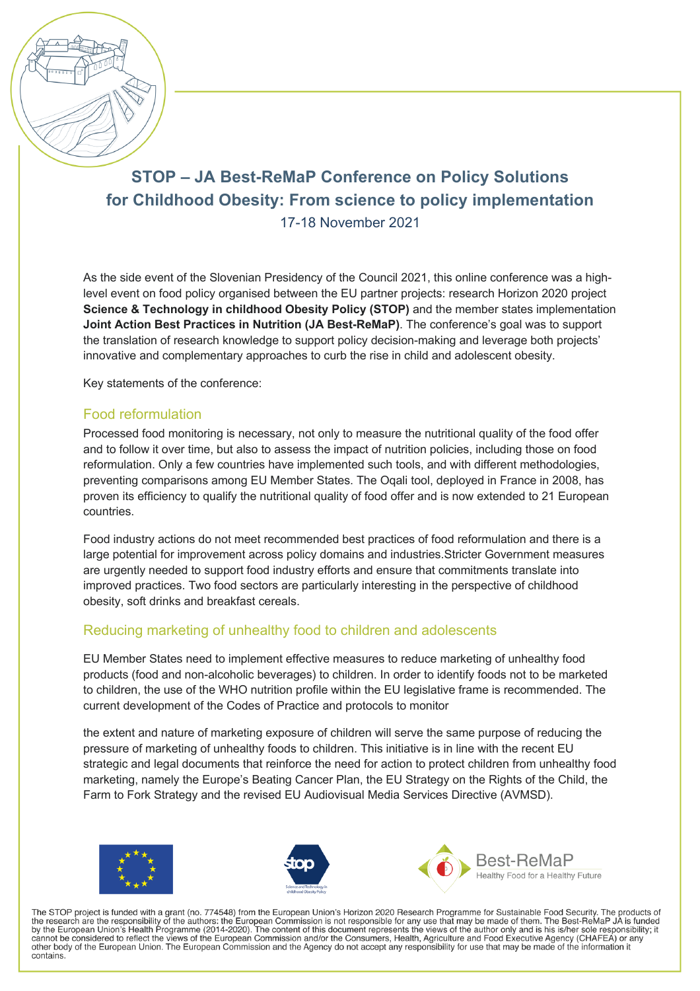

# **STOP – JA Best-ReMaP Conference on Policy Solutions for Childhood Obesity: From science to policy implementation** 17-18 November 2021

As the side event of the Slovenian Presidency of the Council 2021, this online conference was a highlevel event on food policy organised between the EU partner projects: research Horizon 2020 project **Science & Technology in childhood Obesity Policy (STOP)** and the member states implementation **Joint Action Best Practices in Nutrition (JA Best-ReMaP)**. The conference's goal was to support the translation of research knowledge to support policy decision-making and leverage both projects' innovative and complementary approaches to curb the rise in child and adolescent obesity.

Key statements of the conference:

#### Food reformulation

Processed food monitoring is necessary, not only to measure the nutritional quality of the food offer and to follow it over time, but also to assess the impact of nutrition policies, including those on food reformulation. Only a few countries have implemented such tools, and with different methodologies, preventing comparisons among EU Member States. The Oqali tool, deployed in France in 2008, has proven its efficiency to qualify the nutritional quality of food offer and is now extended to 21 European countries.

Food industry actions do not meet recommended best practices of food reformulation and there is a large potential for improvement across policy domains and industries.Stricter Government measures are urgently needed to support food industry efforts and ensure that commitments translate into improved practices. Two food sectors are particularly interesting in the perspective of childhood obesity, soft drinks and breakfast cereals.

### Reducing marketing of unhealthy food to children and adolescents

EU Member States need to implement effective measures to reduce marketing of unhealthy food products (food and non-alcoholic beverages) to children. In order to identify foods not to be marketed to children, the use of the WHO nutrition profile within the EU legislative frame is recommended. The current development of the Codes of Practice and protocols to monitor

the extent and nature of marketing exposure of children will serve the same purpose of reducing the pressure of marketing of unhealthy foods to children. This initiative is in line with the recent EU strategic and legal documents that reinforce the need for action to protect children from unhealthy food marketing, namely the Europe's Beating Cancer Plan, the EU Strategy on the Rights of the Child, the Farm to Fork Strategy and the revised EU Audiovisual Media Services Directive (AVMSD).







The STOP project is funded with a grant (no. 774548) from the European Union's Horizon 2020 Research Programme for Sustainable Food Security. The products of the research are the responsibility of the authors: the European Commission is not responsible for any use that may be made of them. The Best-ReMaP JA is funded<br>by the European Union's Health Programme (2014-2020). The con cannot be considered to reflect the views of the European Commission and/or the Consumers, Health, Agriculture and Food Executive Agency (CHAFEA) or any other body of the European Union. The European Commission and the Agency do not accept any responsibility for use that may be made of the information it contains.